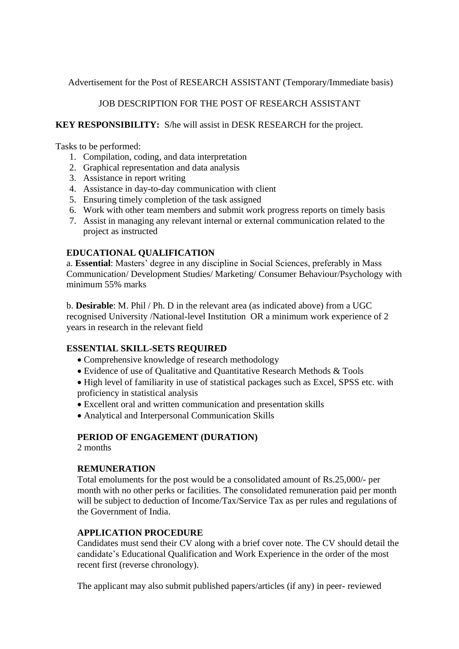Advertisement for the Post of RESEARCH ASSISTANT (Temporary/Immediate basis)

# JOB DESCRIPTION FOR THE POST OF RESEARCH ASSISTANT

### **KEY RESPONSIBILITY:** S/he will assist in DESK RESEARCH for the project.

Tasks to be performed:

- 1. Compilation, coding, and data interpretation
- 2. Graphical representation and data analysis
- 3. Assistance in report writing
- 4. Assistance in day-to-day communication with client
- 5. Ensuring timely completion of the task assigned
- 6. Work with other team members and submit work progress reports on timely basis
- 7. Assist in managing any relevant internal or external communication related to the project as instructed

## **EDUCATIONAL QUALIFICATION**

a. **Essential**: Masters' degree in any discipline in Social Sciences, preferably in Mass Communication/ Development Studies/ Marketing/ Consumer Behaviour/Psychology with minimum 55% marks

b. **Desirable**: M. Phil / Ph. D in the relevant area (as indicated above) from a UGC recognised University /National-level Institution OR a minimum work experience of 2 years in research in the relevant field

## **ESSENTIAL SKILL-SETS REQUIRED**

- Comprehensive knowledge of research methodology
- Evidence of use of Qualitative and Quantitative Research Methods & Tools

• High level of familiarity in use of statistical packages such as Excel, SPSS etc. with proficiency in statistical analysis

- Excellent oral and written communication and presentation skills
- Analytical and Interpersonal Communication Skills

## **PERIOD OF ENGAGEMENT (DURATION)**

2 months

## **REMUNERATION**

Total emoluments for the post would be a consolidated amount of Rs.25,000/- per month with no other perks or facilities. The consolidated remuneration paid per month will be subject to deduction of Income/Tax/Service Tax as per rules and regulations of the Government of India.

## **APPLICATION PROCEDURE**

Candidates must send their CV along with a brief cover note. The CV should detail the candidate's Educational Qualification and Work Experience in the order of the most recent first (reverse chronology).

The applicant may also submit published papers/articles (if any) in peer- reviewed